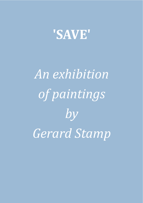

## *An exhibition of paintings by Gerard Stamp*